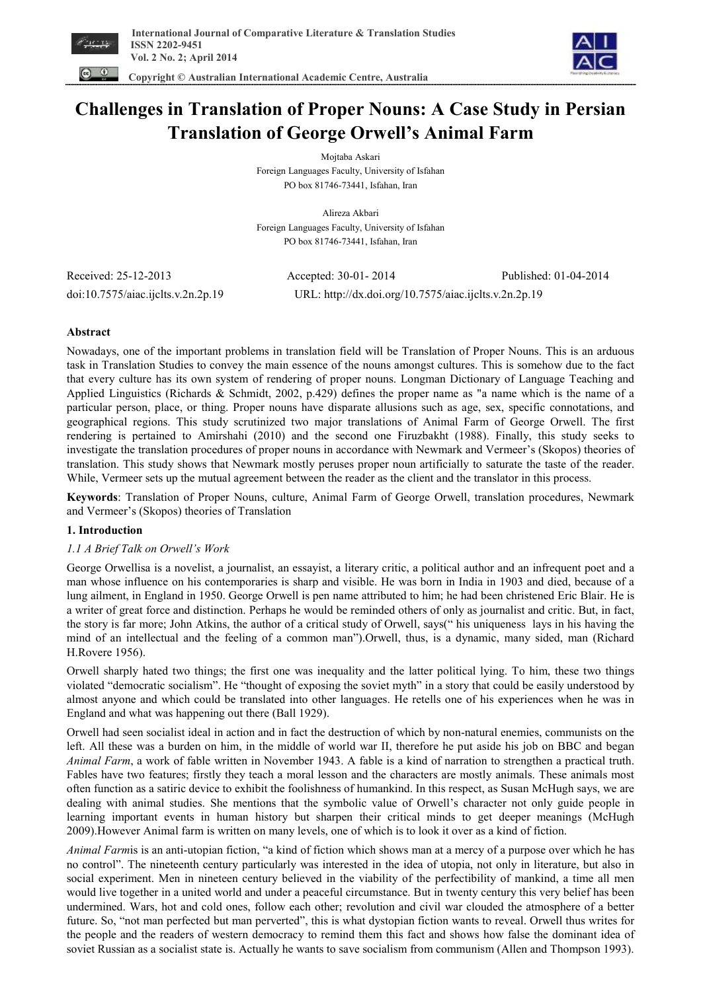



# **Challenges in Translation of Proper Nouns: A Case Study in Persian Translation of George Orwell's Animal Farm**

Mojtaba Askari Foreign Languages Faculty, University of Isfahan PO box 81746-73441, Isfahan, Iran

Alireza Akbari Foreign Languages Faculty, University of Isfahan PO box 81746-73441, Isfahan, Iran

Received: 25-12-2013 Accepted: 30-01- 2014 Published: 01-04-2014 doi:10.7575/aiac.ijclts.v.2n.2p.19 URL: http://dx.doi.org/10.7575/aiac.ijclts.v.2n.2p.19

# **Abstract**

Nowadays, one of the important problems in translation field will be Translation of Proper Nouns. This is an arduous task in Translation Studies to convey the main essence of the nouns amongst cultures. This is somehow due to the fact that every culture has its own system of rendering of proper nouns. Longman Dictionary of Language Teaching and Applied Linguistics (Richards & Schmidt, 2002, p.429) defines the proper name as "a name which is the name of a particular person, place, or thing. Proper nouns have disparate allusions such as age, sex, specific connotations, and geographical regions. This study scrutinized two major translations of Animal Farm of George Orwell. The first rendering is pertained to Amirshahi (2010) and the second one Firuzbakht (1988). Finally, this study seeks to investigate the translation procedures of proper nouns in accordance with Newmark and Vermeer's (Skopos) theories of translation. This study shows that Newmark mostly peruses proper noun artificially to saturate the taste of the reader. While, Vermeer sets up the mutual agreement between the reader as the client and the translator in this process.

**Keywords**: Translation of Proper Nouns, culture, Animal Farm of George Orwell, translation procedures, Newmark and Vermeer's (Skopos) theories of Translation

# **1. Introduction**

# *1.1 A Brief Talk on Orwell's Work*

George Orwellisa is a novelist, a journalist, an essayist, a literary critic, a political author and an infrequent poet and a man whose influence on his contemporaries is sharp and visible. He was born in India in 1903 and died, because of a lung ailment, in England in 1950. George Orwell is pen name attributed to him; he had been christened Eric Blair. He is a writer of great force and distinction. Perhaps he would be reminded others of only as journalist and critic. But, in fact, the story is far more; John Atkins, the author of a critical study of Orwell, says(" his uniqueness lays in his having the mind of an intellectual and the feeling of a common man").Orwell, thus, is a dynamic, many sided, man (Richard H.Rovere 1956).

Orwell sharply hated two things; the first one was inequality and the latter political lying. To him, these two things violated "democratic socialism". He "thought of exposing the soviet myth" in a story that could be easily understood by almost anyone and which could be translated into other languages. He retells one of his experiences when he was in England and what was happening out there (Ball 1929).

Orwell had seen socialist ideal in action and in fact the destruction of which by non-natural enemies, communists on the left. All these was a burden on him, in the middle of world war II, therefore he put aside his job on BBC and began *Animal Farm*, a work of fable written in November 1943. A fable is a kind of narration to strengthen a practical truth. Fables have two features; firstly they teach a moral lesson and the characters are mostly animals. These animals most often function as a satiric device to exhibit the foolishness of humankind. In this respect, as Susan McHugh says, we are dealing with animal studies. She mentions that the symbolic value of Orwell's character not only guide people in learning important events in human history but sharpen their critical minds to get deeper meanings (McHugh 2009).However Animal farm is written on many levels, one of which is to look it over as a kind of fiction.

*Animal Farm*is is an anti-utopian fiction, "a kind of fiction which shows man at a mercy of a purpose over which he has no control". The nineteenth century particularly was interested in the idea of utopia, not only in literature, but also in social experiment. Men in nineteen century believed in the viability of the perfectibility of mankind, a time all men would live together in a united world and under a peaceful circumstance. But in twenty century this very belief has been undermined. Wars, hot and cold ones, follow each other; revolution and civil war clouded the atmosphere of a better future. So, "not man perfected but man perverted", this is what dystopian fiction wants to reveal. Orwell thus writes for the people and the readers of western democracy to remind them this fact and shows how false the dominant idea of soviet Russian as a socialist state is. Actually he wants to save socialism from communism (Allen and Thompson 1993).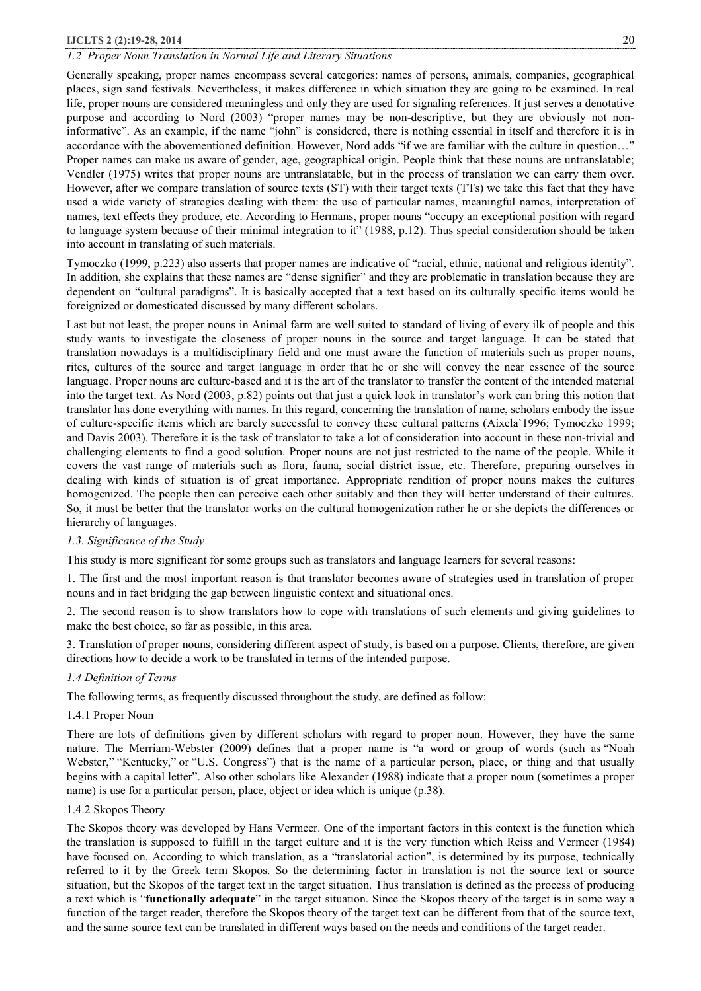## **IJCLTS 2 (2):19-28, 2014** 20

#### *1.2 Proper Noun Translation in Normal Life and Literary Situations*

Generally speaking, proper names encompass several categories: names of persons, animals, companies, geographical places, sign sand festivals. Nevertheless, it makes difference in which situation they are going to be examined. In real life, proper nouns are considered meaningless and only they are used for signaling references. It just serves a denotative purpose and according to Nord (2003) "proper names may be non-descriptive, but they are obviously not noninformative". As an example, if the name "john" is considered, there is nothing essential in itself and therefore it is in accordance with the abovementioned definition. However, Nord adds "if we are familiar with the culture in question…" Proper names can make us aware of gender, age, geographical origin. People think that these nouns are untranslatable; Vendler (1975) writes that proper nouns are untranslatable, but in the process of translation we can carry them over. However, after we compare translation of source texts (ST) with their target texts (TTs) we take this fact that they have used a wide variety of strategies dealing with them: the use of particular names, meaningful names, interpretation of names, text effects they produce, etc. According to Hermans, proper nouns "occupy an exceptional position with regard to language system because of their minimal integration to it" (1988, p.12). Thus special consideration should be taken into account in translating of such materials.

Tymoczko (1999, p.223) also asserts that proper names are indicative of "racial, ethnic, national and religious identity". In addition, she explains that these names are "dense signifier" and they are problematic in translation because they are dependent on "cultural paradigms". It is basically accepted that a text based on its culturally specific items would be foreignized or domesticated discussed by many different scholars.

Last but not least, the proper nouns in Animal farm are well suited to standard of living of every ilk of people and this study wants to investigate the closeness of proper nouns in the source and target language. It can be stated that translation nowadays is a multidisciplinary field and one must aware the function of materials such as proper nouns, rites, cultures of the source and target language in order that he or she will convey the near essence of the source language. Proper nouns are culture-based and it is the art of the translator to transfer the content of the intended material into the target text. As Nord (2003, p.82) points out that just a quick look in translator's work can bring this notion that translator has done everything with names. In this regard, concerning the translation of name, scholars embody the issue of culture-specific items which are barely successful to convey these cultural patterns (Aixela`1996; Tymoczko 1999; and Davis 2003). Therefore it is the task of translator to take a lot of consideration into account in these non-trivial and challenging elements to find a good solution. Proper nouns are not just restricted to the name of the people. While it covers the vast range of materials such as flora, fauna, social district issue, etc. Therefore, preparing ourselves in dealing with kinds of situation is of great importance. Appropriate rendition of proper nouns makes the cultures homogenized. The people then can perceive each other suitably and then they will better understand of their cultures. So, it must be better that the translator works on the cultural homogenization rather he or she depicts the differences or hierarchy of languages.

# *1.3. Significance of the Study*

This study is more significant for some groups such as translators and language learners for several reasons:

1. The first and the most important reason is that translator becomes aware of strategies used in translation of proper nouns and in fact bridging the gap between linguistic context and situational ones.

2. The second reason is to show translators how to cope with translations of such elements and giving guidelines to make the best choice, so far as possible, in this area.

3. Translation of proper nouns, considering different aspect of study, is based on a purpose. Clients, therefore, are given directions how to decide a work to be translated in terms of the intended purpose.

## *1.4 Definition of Terms*

The following terms, as frequently discussed throughout the study, are defined as follow:

#### 1.4.1 Proper Noun

There are lots of definitions given by different scholars with regard to proper noun. However, they have the same nature. The Merriam-Webster (2009) defines that a proper name is "a word or group of words (such as "Noah Webster," "Kentucky," or "U.S. Congress") that is the name of a particular person, place, or thing and that usually begins with a capital letter". Also other scholars like Alexander (1988) indicate that a proper noun (sometimes a proper name) is use for a particular person, place, object or idea which is unique (p.38).

# 1.4.2 Skopos Theory

The Skopos theory was developed by Hans Vermeer. One of the important factors in this context is the function which the translation is supposed to fulfill in the target culture and it is the very function which Reiss and Vermeer (1984) have focused on. According to which translation, as a "translatorial action", is determined by its purpose, technically referred to it by the Greek term Skopos. So the determining factor in translation is not the source text or source situation, but the Skopos of the target text in the target situation. Thus translation is defined as the process of producing a text which is "**functionally adequate**" in the target situation. Since the Skopos theory of the target is in some way a function of the target reader, therefore the Skopos theory of the target text can be different from that of the source text, and the same source text can be translated in different ways based on the needs and conditions of the target reader.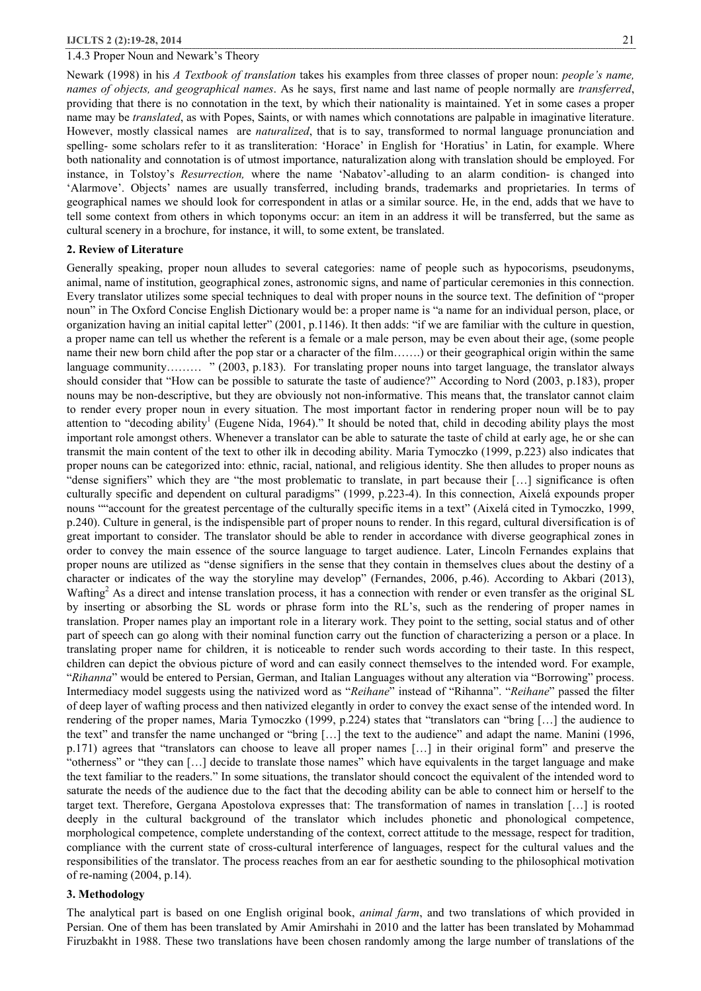# 1.4.3 Proper Noun and Newark's Theory

Newark (1998) in his *A Textbook of translation* takes his examples from three classes of proper noun: *people's name, names of objects, and geographical names*. As he says, first name and last name of people normally are *transferred*, providing that there is no connotation in the text, by which their nationality is maintained. Yet in some cases a proper name may be *translated*, as with Popes, Saints, or with names which connotations are palpable in imaginative literature. However, mostly classical names are *naturalized*, that is to say, transformed to normal language pronunciation and spelling- some scholars refer to it as transliteration: 'Horace' in English for 'Horatius' in Latin, for example. Where both nationality and connotation is of utmost importance, naturalization along with translation should be employed. For instance, in Tolstoy's *Resurrection,* where the name 'Nabatov'-alluding to an alarm condition- is changed into 'Alarmove'. Objects' names are usually transferred, including brands, trademarks and proprietaries. In terms of geographical names we should look for correspondent in atlas or a similar source. He, in the end, adds that we have to tell some context from others in which toponyms occur: an item in an address it will be transferred, but the same as cultural scenery in a brochure, for instance, it will, to some extent, be translated.

#### **2. Review of Literature**

Generally speaking, proper noun alludes to several categories: name of people such as hypocorisms, pseudonyms, animal, name of institution, geographical zones, astronomic signs, and name of particular ceremonies in this connection. Every translator utilizes some special techniques to deal with proper nouns in the source text. The definition of "proper noun" in The Oxford Concise English Dictionary would be: a proper name is "a name for an individual person, place, or organization having an initial capital letter" (2001, p.1146). It then adds: "if we are familiar with the culture in question, a proper name can tell us whether the referent is a female or a male person, may be even about their age, (some people name their new born child after the pop star or a character of the film…….) or their geographical origin within the same language community……… " (2003, p.183). For translating proper nouns into target language, the translator always should consider that "How can be possible to saturate the taste of audience?" According to Nord (2003, p.183), proper nouns may be non-descriptive, but they are obviously not non-informative. This means that, the translator cannot claim to render every proper noun in every situation. The most important factor in rendering proper noun will be to pay attention to "decoding ability<sup>1</sup> (Eugene Nida, 1964)." It should be noted that, child in decoding ability plays the most important role amongst others. Whenever a translator can be able to saturate the taste of child at early age, he or she can transmit the main content of the text to other ilk in decoding ability. Maria Tymoczko (1999, p.223) also indicates that proper nouns can be categorized into: ethnic, racial, national, and religious identity. She then alludes to proper nouns as "dense signifiers" which they are "the most problematic to translate, in part because their […] significance is often culturally specific and dependent on cultural paradigms" (1999, p.223-4). In this connection, Aixelá expounds proper nouns ""account for the greatest percentage of the culturally specific items in a text" (Aixelá cited in Tymoczko, 1999, p.240). Culture in general, is the indispensible part of proper nouns to render. In this regard, cultural diversification is of great important to consider. The translator should be able to render in accordance with diverse geographical zones in order to convey the main essence of the source language to target audience. Later, Lincoln Fernandes explains that proper nouns are utilized as "dense signifiers in the sense that they contain in themselves clues about the destiny of a character or indicates of the way the storyline may develop" (Fernandes, 2006, p.46). According to Akbari (2013), Wafting<sup>2</sup> As a direct and intense translation process, it has a connection with render or even transfer as the original SL by inserting or absorbing the SL words or phrase form into the RL's, such as the rendering of proper names in translation. Proper names play an important role in a literary work. They point to the setting, social status and of other part of speech can go along with their nominal function carry out the function of characterizing a person or a place. In translating proper name for children, it is noticeable to render such words according to their taste. In this respect, children can depict the obvious picture of word and can easily connect themselves to the intended word. For example, "*Rihanna*" would be entered to Persian, German, and Italian Languages without any alteration via "Borrowing" process. Intermediacy model suggests using the nativized word as "*Reihane*" instead of "Rihanna". "*Reihane*" passed the filter of deep layer of wafting process and then nativized elegantly in order to convey the exact sense of the intended word. In rendering of the proper names, Maria Tymoczko (1999, p.224) states that "translators can "bring […] the audience to the text" and transfer the name unchanged or "bring […] the text to the audience" and adapt the name. Manini (1996, p.171) agrees that "translators can choose to leave all proper names […] in their original form" and preserve the "otherness" or "they can […] decide to translate those names" which have equivalents in the target language and make the text familiar to the readers." In some situations, the translator should concoct the equivalent of the intended word to saturate the needs of the audience due to the fact that the decoding ability can be able to connect him or herself to the target text. Therefore, Gergana Apostolova expresses that: The transformation of names in translation […] is rooted deeply in the cultural background of the translator which includes phonetic and phonological competence, morphological competence, complete understanding of the context, correct attitude to the message, respect for tradition, compliance with the current state of cross-cultural interference of languages, respect for the cultural values and the responsibilities of the translator. The process reaches from an ear for aesthetic sounding to the philosophical motivation of re-naming (2004, p.14).

## **3. Methodology**

The analytical part is based on one English original book, *animal farm*, and two translations of which provided in Persian. One of them has been translated by Amir Amirshahi in 2010 and the latter has been translated by Mohammad Firuzbakht in 1988. These two translations have been chosen randomly among the large number of translations of the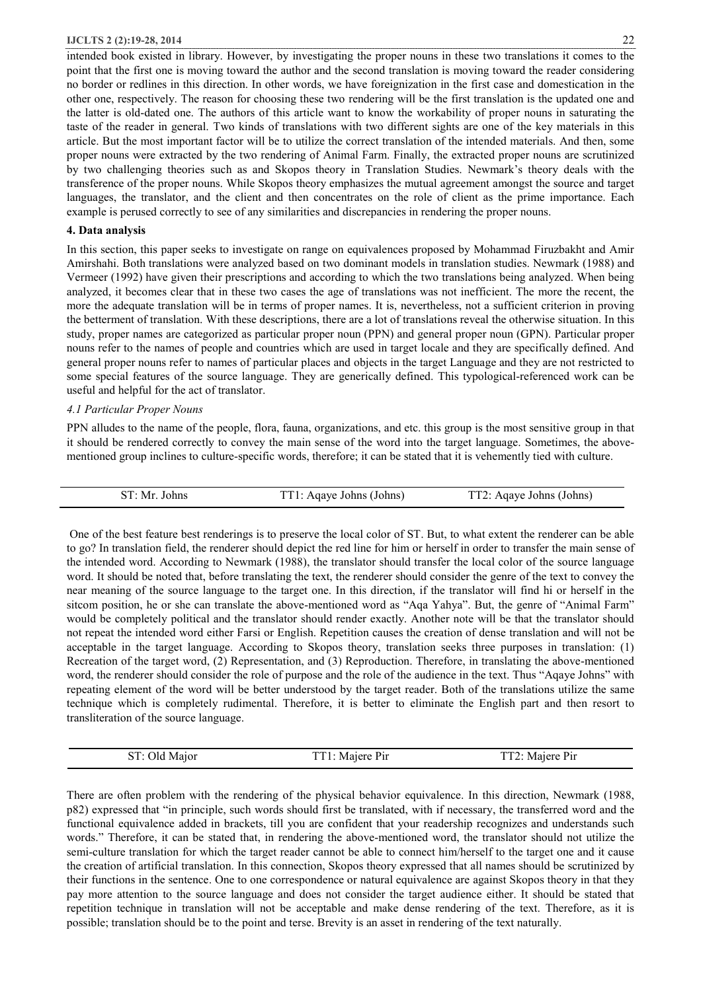#### **IJCLTS 2 (2):19-28, 2014** 22

intended book existed in library. However, by investigating the proper nouns in these two translations it comes to the point that the first one is moving toward the author and the second translation is moving toward the reader considering no border or redlines in this direction. In other words, we have foreignization in the first case and domestication in the other one, respectively. The reason for choosing these two rendering will be the first translation is the updated one and the latter is old-dated one. The authors of this article want to know the workability of proper nouns in saturating the taste of the reader in general. Two kinds of translations with two different sights are one of the key materials in this article. But the most important factor will be to utilize the correct translation of the intended materials. And then, some proper nouns were extracted by the two rendering of Animal Farm. Finally, the extracted proper nouns are scrutinized by two challenging theories such as and Skopos theory in Translation Studies. Newmark's theory deals with the transference of the proper nouns. While Skopos theory emphasizes the mutual agreement amongst the source and target languages, the translator, and the client and then concentrates on the role of client as the prime importance. Each

example is perused correctly to see of any similarities and discrepancies in rendering the proper nouns.

## **4. Data analysis**

In this section, this paper seeks to investigate on range on equivalences proposed by Mohammad Firuzbakht and Amir Amirshahi. Both translations were analyzed based on two dominant models in translation studies. Newmark (1988) and Vermeer (1992) have given their prescriptions and according to which the two translations being analyzed. When being analyzed, it becomes clear that in these two cases the age of translations was not inefficient. The more the recent, the more the adequate translation will be in terms of proper names. It is, nevertheless, not a sufficient criterion in proving the betterment of translation. With these descriptions, there are a lot of translations reveal the otherwise situation. In this study, proper names are categorized as particular proper noun (PPN) and general proper noun (GPN). Particular proper nouns refer to the names of people and countries which are used in target locale and they are specifically defined. And general proper nouns refer to names of particular places and objects in the target Language and they are not restricted to some special features of the source language. They are generically defined. This typological-referenced work can be useful and helpful for the act of translator.

# *4.1 Particular Proper Nouns*

PPN alludes to the name of the people, flora, fauna, organizations, and etc. this group is the most sensitive group in that it should be rendered correctly to convey the main sense of the word into the target language. Sometimes, the abovementioned group inclines to culture-specific words, therefore; it can be stated that it is vehemently tied with culture.

| ST: Mr. Johns | TT1: Aqaye Johns (Johns) | TT2: Aqaye Johns (Johns) |
|---------------|--------------------------|--------------------------|
|               |                          |                          |

One of the best feature best renderings is to preserve the local color of ST. But, to what extent the renderer can be able to go? In translation field, the renderer should depict the red line for him or herself in order to transfer the main sense of the intended word. According to Newmark (1988), the translator should transfer the local color of the source language word. It should be noted that, before translating the text, the renderer should consider the genre of the text to convey the near meaning of the source language to the target one. In this direction, if the translator will find hi or herself in the sitcom position, he or she can translate the above-mentioned word as "Aqa Yahya". But, the genre of "Animal Farm" would be completely political and the translator should render exactly. Another note will be that the translator should not repeat the intended word either Farsi or English. Repetition causes the creation of dense translation and will not be acceptable in the target language. According to Skopos theory, translation seeks three purposes in translation: (1) Recreation of the target word, (2) Representation, and (3) Reproduction. Therefore, in translating the above-mentioned word, the renderer should consider the role of purpose and the role of the audience in the text. Thus "Aqaye Johns" with repeating element of the word will be better understood by the target reader. Both of the translations utilize the same technique which is completely rudimental. Therefore, it is better to eliminate the English part and then resort to transliteration of the source language.

| ST: Old Major | TT1: Majere Pir | TT2: Majere Pir |
|---------------|-----------------|-----------------|
|---------------|-----------------|-----------------|

There are often problem with the rendering of the physical behavior equivalence. In this direction, Newmark (1988, p82) expressed that "in principle, such words should first be translated, with if necessary, the transferred word and the functional equivalence added in brackets, till you are confident that your readership recognizes and understands such words." Therefore, it can be stated that, in rendering the above-mentioned word, the translator should not utilize the semi-culture translation for which the target reader cannot be able to connect him/herself to the target one and it cause the creation of artificial translation. In this connection, Skopos theory expressed that all names should be scrutinized by their functions in the sentence. One to one correspondence or natural equivalence are against Skopos theory in that they pay more attention to the source language and does not consider the target audience either. It should be stated that repetition technique in translation will not be acceptable and make dense rendering of the text. Therefore, as it is possible; translation should be to the point and terse. Brevity is an asset in rendering of the text naturally.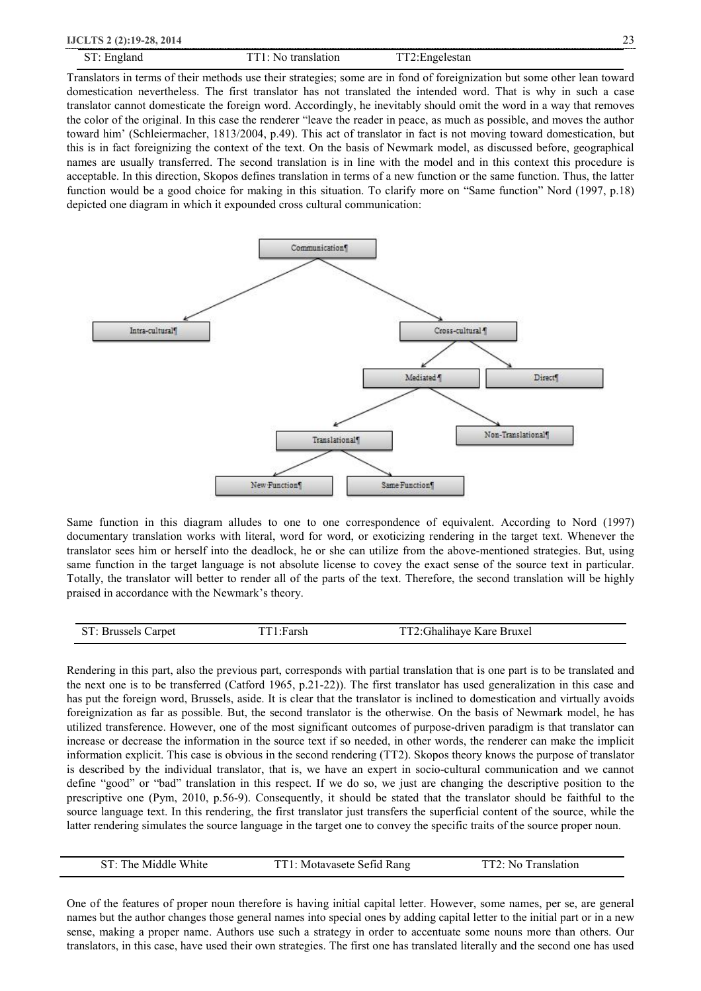| <b>IJC</b><br>70 LA<br>ᆂ<br>_ |    | - - |
|-------------------------------|----|-----|
|                               | NΩ |     |

Translators in terms of their methods use their strategies; some are in fond of foreignization but some other lean toward domestication nevertheless. The first translator has not translated the intended word. That is why in such a case translator cannot domesticate the foreign word. Accordingly, he inevitably should omit the word in a way that removes the color of the original. In this case the renderer "leave the reader in peace, as much as possible, and moves the author toward him' (Schleiermacher, 1813/2004, p.49). This act of translator in fact is not moving toward domestication, but this is in fact foreignizing the context of the text. On the basis of Newmark model, as discussed before, geographical names are usually transferred. The second translation is in line with the model and in this context this procedure is acceptable. In this direction, Skopos defines translation in terms of a new function or the same function. Thus, the latter function would be a good choice for making in this situation. To clarify more on "Same function" Nord (1997, p.18) depicted one diagram in which it expounded cross cultural communication:



Same function in this diagram alludes to one to one correspondence of equivalent. According to Nord (1997) documentary translation works with literal, word for word, or exoticizing rendering in the target text. Whenever the translator sees him or herself into the deadlock, he or she can utilize from the above-mentioned strategies. But, using same function in the target language is not absolute license to covey the exact sense of the source text in particular. Totally, the translator will better to render all of the parts of the text. Therefore, the second translation will be highly praised in accordance with the Newmark's theory.

| ST: Brussels Carpet | TT1:Farsh | TT2: Ghalihaye Kare Bruxel |
|---------------------|-----------|----------------------------|
|                     |           |                            |

Rendering in this part, also the previous part, corresponds with partial translation that is one part is to be translated and the next one is to be transferred (Catford 1965, p.21-22)). The first translator has used generalization in this case and has put the foreign word, Brussels, aside. It is clear that the translator is inclined to domestication and virtually avoids foreignization as far as possible. But, the second translator is the otherwise. On the basis of Newmark model, he has utilized transference. However, one of the most significant outcomes of purpose-driven paradigm is that translator can increase or decrease the information in the source text if so needed, in other words, the renderer can make the implicit information explicit. This case is obvious in the second rendering (TT2). Skopos theory knows the purpose of translator is described by the individual translator, that is, we have an expert in socio-cultural communication and we cannot define "good" or "bad" translation in this respect. If we do so, we just are changing the descriptive position to the prescriptive one (Pym, 2010, p.56-9). Consequently, it should be stated that the translator should be faithful to the source language text. In this rendering, the first translator just transfers the superficial content of the source, while the latter rendering simulates the source language in the target one to convey the specific traits of the source proper noun.

| ST: The Middle White | TT1: Motavasete Sefid Rang | TT2: No Translation |
|----------------------|----------------------------|---------------------|
|----------------------|----------------------------|---------------------|

One of the features of proper noun therefore is having initial capital letter. However, some names, per se, are general names but the author changes those general names into special ones by adding capital letter to the initial part or in a new sense, making a proper name. Authors use such a strategy in order to accentuate some nouns more than others. Our translators, in this case, have used their own strategies. The first one has translated literally and the second one has used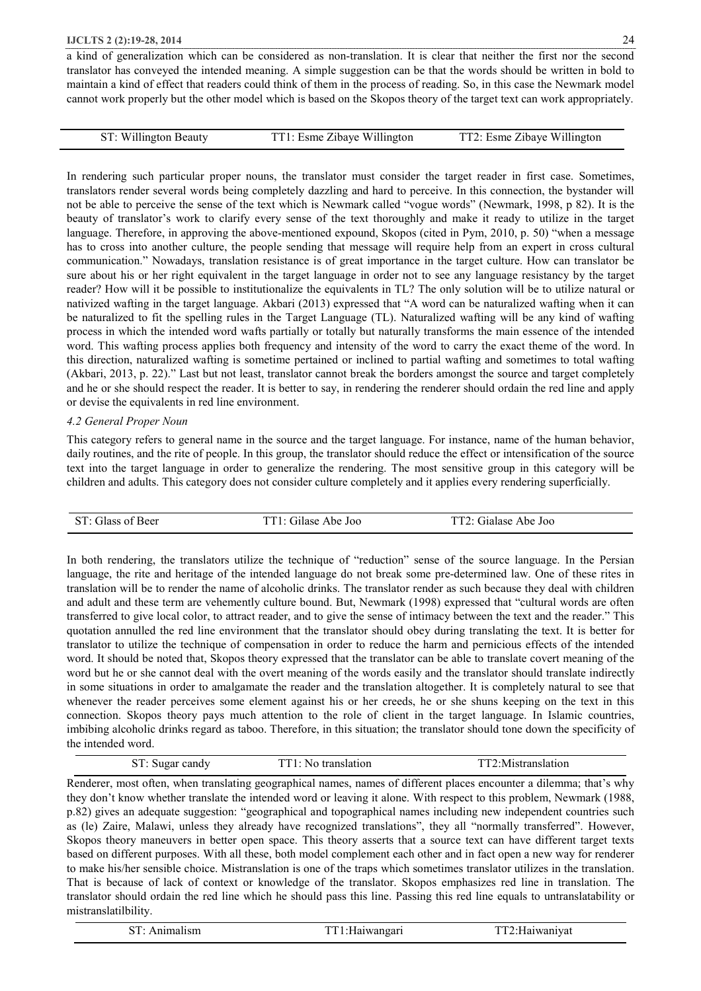a kind of generalization which can be considered as non-translation. It is clear that neither the first nor the second translator has conveyed the intended meaning. A simple suggestion can be that the words should be written in bold to maintain a kind of effect that readers could think of them in the process of reading. So, in this case the Newmark model cannot work properly but the other model which is based on the Skopos theory of the target text can work appropriately.

|--|

In rendering such particular proper nouns, the translator must consider the target reader in first case. Sometimes, translators render several words being completely dazzling and hard to perceive. In this connection, the bystander will not be able to perceive the sense of the text which is Newmark called "vogue words" (Newmark, 1998, p 82). It is the beauty of translator's work to clarify every sense of the text thoroughly and make it ready to utilize in the target language. Therefore, in approving the above-mentioned expound, Skopos (cited in Pym, 2010, p. 50) "when a message has to cross into another culture, the people sending that message will require help from an expert in cross cultural communication." Nowadays, translation resistance is of great importance in the target culture. How can translator be sure about his or her right equivalent in the target language in order not to see any language resistancy by the target reader? How will it be possible to institutionalize the equivalents in TL? The only solution will be to utilize natural or nativized wafting in the target language. Akbari (2013) expressed that "A word can be naturalized wafting when it can be naturalized to fit the spelling rules in the Target Language (TL). Naturalized wafting will be any kind of wafting process in which the intended word wafts partially or totally but naturally transforms the main essence of the intended word. This wafting process applies both frequency and intensity of the word to carry the exact theme of the word. In this direction, naturalized wafting is sometime pertained or inclined to partial wafting and sometimes to total wafting (Akbari, 2013, p. 22)." Last but not least, translator cannot break the borders amongst the source and target completely and he or she should respect the reader. It is better to say, in rendering the renderer should ordain the red line and apply or devise the equivalents in red line environment.

# *4.2 General Proper Noun*

This category refers to general name in the source and the target language. For instance, name of the human behavior, daily routines, and the rite of people. In this group, the translator should reduce the effect or intensification of the source text into the target language in order to generalize the rendering. The most sensitive group in this category will be children and adults. This category does not consider culture completely and it applies every rendering superficially.

| ST: Glass of Beer | Gilase Abe Joo | TT2: Gialase Abe Joo<br>. |
|-------------------|----------------|---------------------------|

In both rendering, the translators utilize the technique of "reduction" sense of the source language. In the Persian language, the rite and heritage of the intended language do not break some pre-determined law. One of these rites in translation will be to render the name of alcoholic drinks. The translator render as such because they deal with children and adult and these term are vehemently culture bound. But, Newmark (1998) expressed that "cultural words are often transferred to give local color, to attract reader, and to give the sense of intimacy between the text and the reader." This quotation annulled the red line environment that the translator should obey during translating the text. It is better for translator to utilize the technique of compensation in order to reduce the harm and pernicious effects of the intended word. It should be noted that, Skopos theory expressed that the translator can be able to translate covert meaning of the word but he or she cannot deal with the overt meaning of the words easily and the translator should translate indirectly in some situations in order to amalgamate the reader and the translation altogether. It is completely natural to see that whenever the reader perceives some element against his or her creeds, he or she shuns keeping on the text in this connection. Skopos theory pays much attention to the role of client in the target language. In Islamic countries, imbibing alcoholic drinks regard as taboo. Therefore, in this situation; the translator should tone down the specificity of the intended word.

| ST: Sugar candy | TT1: No translation | TT2:Mistranslation |
|-----------------|---------------------|--------------------|
|                 |                     |                    |

Renderer, most often, when translating geographical names, names of different places encounter a dilemma; that's why they don't know whether translate the intended word or leaving it alone. With respect to this problem, Newmark (1988, p.82) gives an adequate suggestion: "geographical and topographical names including new independent countries such as (le) Zaire, Malawi, unless they already have recognized translations", they all "normally transferred". However, Skopos theory maneuvers in better open space. This theory asserts that a source text can have different target texts based on different purposes. With all these, both model complement each other and in fact open a new way for renderer to make his/her sensible choice. Mistranslation is one of the traps which sometimes translator utilizes in the translation. That is because of lack of context or knowledge of the translator. Skopos emphasizes red line in translation. The translator should ordain the red line which he should pass this line. Passing this red line equals to untranslatability or mistranslatilbility.

| ST.<br>Animalism | $-$ | m <sub>0</sub><br>∴∡. Haiwaniyat |
|------------------|-----|----------------------------------|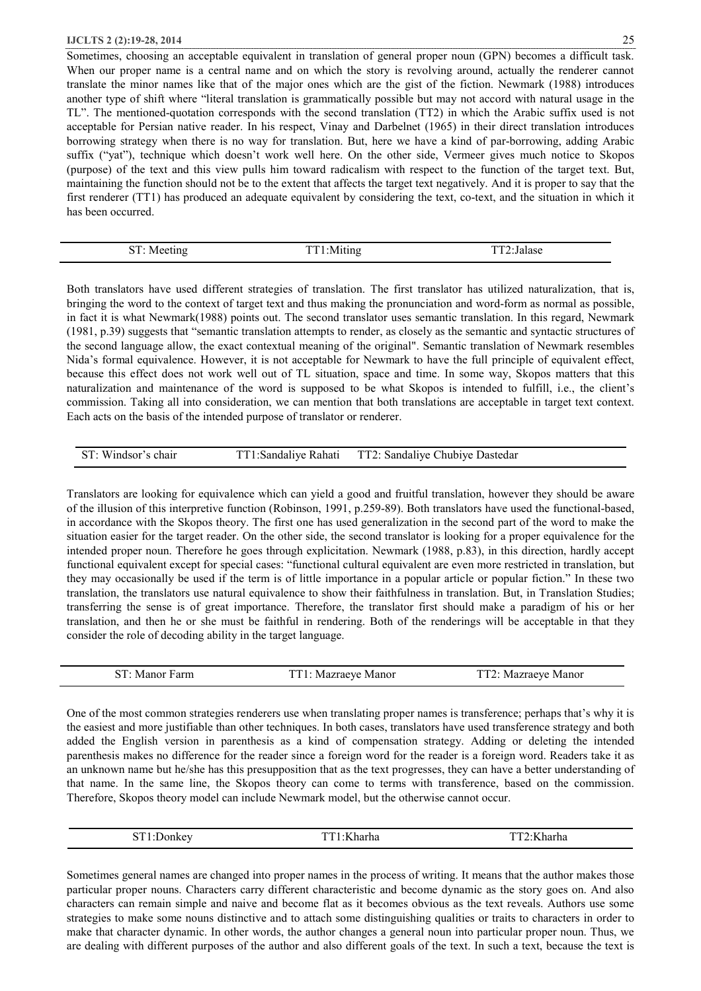Sometimes, choosing an acceptable equivalent in translation of general proper noun (GPN) becomes a difficult task. When our proper name is a central name and on which the story is revolving around, actually the renderer cannot

translate the minor names like that of the major ones which are the gist of the fiction. Newmark (1988) introduces another type of shift where "literal translation is grammatically possible but may not accord with natural usage in the TL". The mentioned-quotation corresponds with the second translation (TT2) in which the Arabic suffix used is not acceptable for Persian native reader. In his respect, Vinay and Darbelnet (1965) in their direct translation introduces borrowing strategy when there is no way for translation. But, here we have a kind of par-borrowing, adding Arabic suffix ("yat"), technique which doesn't work well here. On the other side, Vermeer gives much notice to Skopos (purpose) of the text and this view pulls him toward radicalism with respect to the function of the target text. But, maintaining the function should not be to the extent that affects the target text negatively. And it is proper to say that the first renderer (TT1) has produced an adequate equivalent by considering the text, co-text, and the situation in which it has been occurred.

| Meeting | $ -$   | …Jalase |
|---------|--------|---------|
| ٠L      | Mitin⊊ | .       |

Both translators have used different strategies of translation. The first translator has utilized naturalization, that is, bringing the word to the context of target text and thus making the pronunciation and word-form as normal as possible, in fact it is what Newmark(1988) points out. The second translator uses semantic translation. In this regard, Newmark (1981, p.39) suggests that "semantic translation attempts to render, as closely as the semantic and syntactic structures of the second language allow, the exact contextual meaning of the original". Semantic translation of Newmark resembles Nida's formal equivalence. However, it is not acceptable for Newmark to have the full principle of equivalent effect, because this effect does not work well out of TL situation, space and time. In some way, Skopos matters that this naturalization and maintenance of the word is supposed to be what Skopos is intended to fulfill, i.e., the client's commission. Taking all into consideration, we can mention that both translations are acceptable in target text context. Each acts on the basis of the intended purpose of translator or renderer.

| ST: Windsor's chair | TT1:Sandaliye Rahati TT2: Sandaliye Chubiye Dastedar |
|---------------------|------------------------------------------------------|
|                     |                                                      |

Translators are looking for equivalence which can yield a good and fruitful translation, however they should be aware of the illusion of this interpretive function (Robinson, 1991, p.259-89). Both translators have used the functional-based, in accordance with the Skopos theory. The first one has used generalization in the second part of the word to make the situation easier for the target reader. On the other side, the second translator is looking for a proper equivalence for the intended proper noun. Therefore he goes through explicitation. Newmark (1988, p.83), in this direction, hardly accept functional equivalent except for special cases: "functional cultural equivalent are even more restricted in translation, but they may occasionally be used if the term is of little importance in a popular article or popular fiction." In these two translation, the translators use natural equivalence to show their faithfulness in translation. But, in Translation Studies; transferring the sense is of great importance. Therefore, the translator first should make a paradigm of his or her translation, and then he or she must be faithful in rendering. Both of the renderings will be acceptable in that they consider the role of decoding ability in the target language.

One of the most common strategies renderers use when translating proper names is transference; perhaps that's why it is the easiest and more justifiable than other techniques. In both cases, translators have used transference strategy and both added the English version in parenthesis as a kind of compensation strategy. Adding or deleting the intended parenthesis makes no difference for the reader since a foreign word for the reader is a foreign word. Readers take it as an unknown name but he/she has this presupposition that as the text progresses, they can have a better understanding of that name. In the same line, the Skopos theory can come to terms with transference, based on the commission. Therefore, Skopos theory model can include Newmark model, but the otherwise cannot occur.

| TT1:Kharha<br>TT2:Kharha<br>ST1:Donkey |  |
|----------------------------------------|--|
|----------------------------------------|--|

Sometimes general names are changed into proper names in the process of writing. It means that the author makes those particular proper nouns. Characters carry different characteristic and become dynamic as the story goes on. And also characters can remain simple and naive and become flat as it becomes obvious as the text reveals. Authors use some strategies to make some nouns distinctive and to attach some distinguishing qualities or traits to characters in order to make that character dynamic. In other words, the author changes a general noun into particular proper noun. Thus, we are dealing with different purposes of the author and also different goals of the text. In such a text, because the text is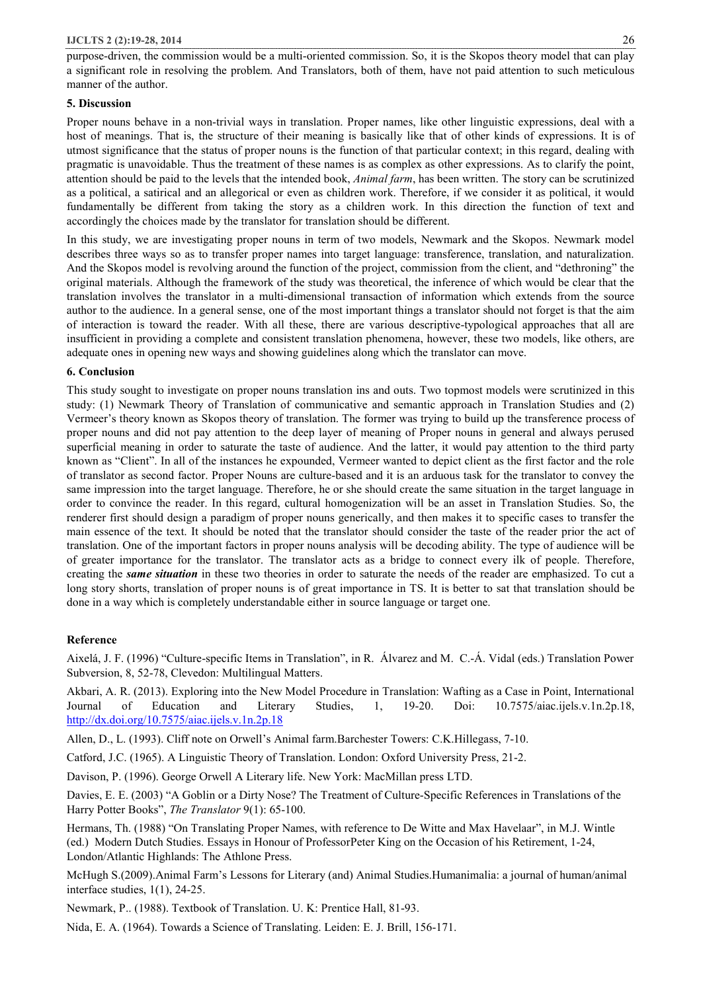# **5. Discussion**

Proper nouns behave in a non-trivial ways in translation. Proper names, like other linguistic expressions, deal with a host of meanings. That is, the structure of their meaning is basically like that of other kinds of expressions. It is of utmost significance that the status of proper nouns is the function of that particular context; in this regard, dealing with pragmatic is unavoidable. Thus the treatment of these names is as complex as other expressions. As to clarify the point, attention should be paid to the levels that the intended book, *Animal farm*, has been written. The story can be scrutinized as a political, a satirical and an allegorical or even as children work. Therefore, if we consider it as political, it would fundamentally be different from taking the story as a children work. In this direction the function of text and accordingly the choices made by the translator for translation should be different.

In this study, we are investigating proper nouns in term of two models, Newmark and the Skopos. Newmark model describes three ways so as to transfer proper names into target language: transference, translation, and naturalization. And the Skopos model is revolving around the function of the project, commission from the client, and "dethroning" the original materials. Although the framework of the study was theoretical, the inference of which would be clear that the translation involves the translator in a multi-dimensional transaction of information which extends from the source author to the audience. In a general sense, one of the most important things a translator should not forget is that the aim of interaction is toward the reader. With all these, there are various descriptive-typological approaches that all are insufficient in providing a complete and consistent translation phenomena, however, these two models, like others, are adequate ones in opening new ways and showing guidelines along which the translator can move.

#### **6. Conclusion**

This study sought to investigate on proper nouns translation ins and outs. Two topmost models were scrutinized in this study: (1) Newmark Theory of Translation of communicative and semantic approach in Translation Studies and (2) Vermeer's theory known as Skopos theory of translation. The former was trying to build up the transference process of proper nouns and did not pay attention to the deep layer of meaning of Proper nouns in general and always perused superficial meaning in order to saturate the taste of audience. And the latter, it would pay attention to the third party known as "Client". In all of the instances he expounded, Vermeer wanted to depict client as the first factor and the role of translator as second factor. Proper Nouns are culture-based and it is an arduous task for the translator to convey the same impression into the target language. Therefore, he or she should create the same situation in the target language in order to convince the reader. In this regard, cultural homogenization will be an asset in Translation Studies. So, the renderer first should design a paradigm of proper nouns generically, and then makes it to specific cases to transfer the main essence of the text. It should be noted that the translator should consider the taste of the reader prior the act of translation. One of the important factors in proper nouns analysis will be decoding ability. The type of audience will be of greater importance for the translator. The translator acts as a bridge to connect every ilk of people. Therefore, creating the *same situation* in these two theories in order to saturate the needs of the reader are emphasized. To cut a long story shorts, translation of proper nouns is of great importance in TS. It is better to sat that translation should be done in a way which is completely understandable either in source language or target one.

# **Reference**

Aixelá, J. F. (1996) "Culture-specific Items in Translation", in R. Álvarez and M. C.-Á. Vidal (eds.) Translation Power Subversion, 8, 52-78, Clevedon: Multilingual Matters.

Akbari, A. R. (2013). Exploring into the New Model Procedure in Translation: Wafting as a Case in Point, International Journal of Education and Literary Studies, 1, 19-20. Doi: 10.7575/aiac.ijels.v.1n.2p.18, http://dx.doi.org/10.7575/aiac.ijels.v.1n.2p.18

Allen, D., L. (1993). Cliff note on Orwell's Animal farm.Barchester Towers: C.K.Hillegass, 7-10.

Catford, J.C. (1965). A Linguistic Theory of Translation. London: Oxford University Press, 21-2.

Davison, P. (1996). George Orwell A Literary life. New York: MacMillan press LTD.

Davies, E. E. (2003) "A Goblin or a Dirty Nose? The Treatment of Culture-Specific References in Translations of the Harry Potter Books", *The Translator* 9(1): 65-100.

Hermans, Th. (1988) "On Translating Proper Names, with reference to De Witte and Max Havelaar", in M.J. Wintle (ed.) Modern Dutch Studies. Essays in Honour of ProfessorPeter King on the Occasion of his Retirement, 1-24, London/Atlantic Highlands: The Athlone Press.

McHugh S.(2009).Animal Farm's Lessons for Literary (and) Animal Studies.Humanimalia: a journal of human/animal interface studies, 1(1), 24-25.

Newmark, P.. (1988). Textbook of Translation. U. K: Prentice Hall, 81-93.

Nida, E. A. (1964). Towards a Science of Translating. Leiden: E. J. Brill, 156-171.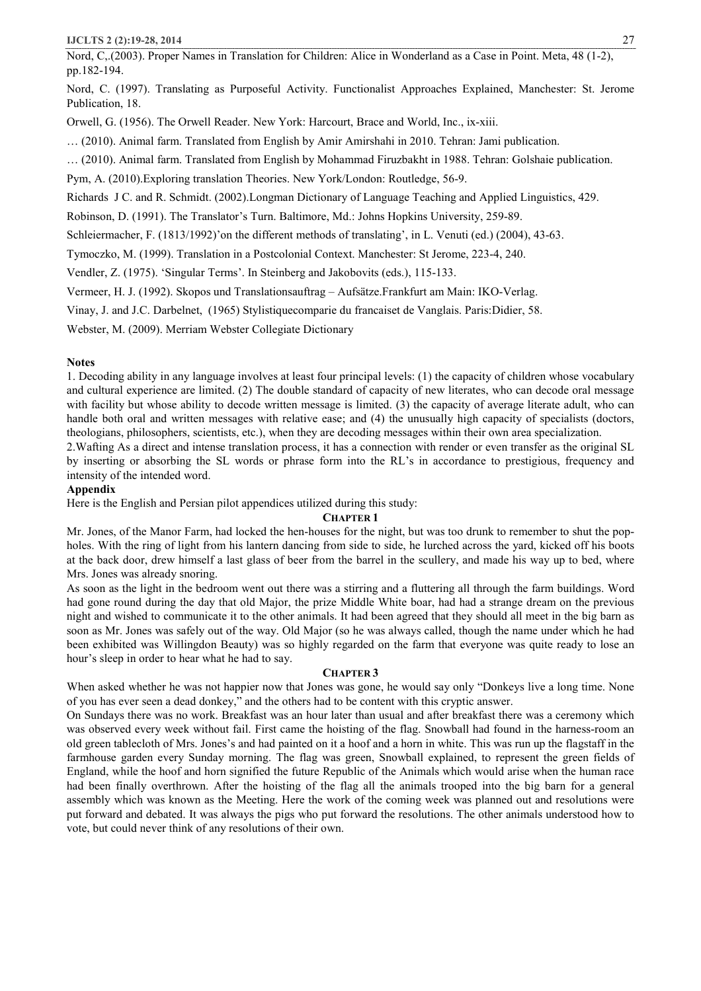Nord, C,.(2003). Proper Names in Translation for Children: Alice in Wonderland as a Case in Point. Meta, 48 (1-2), pp.182-194.

Nord, C. (1997). Translating as Purposeful Activity. Functionalist Approaches Explained, Manchester: St. Jerome Publication, 18.

Orwell, G. (1956). The Orwell Reader. New York: Harcourt, Brace and World, Inc., ix-xiii.

… (2010). Animal farm. Translated from English by Amir Amirshahi in 2010. Tehran: Jami publication.

… (2010). Animal farm. Translated from English by Mohammad Firuzbakht in 1988. Tehran: Golshaie publication.

Pym, A. (2010).Exploring translation Theories. New York/London: Routledge, 56-9.

Richards J C. and R. Schmidt. (2002).Longman Dictionary of Language Teaching and Applied Linguistics, 429.

Robinson, D. (1991). The Translator's Turn. Baltimore, Md.: Johns Hopkins University, 259-89.

Schleiermacher, F. (1813/1992)'on the different methods of translating', in L. Venuti (ed.) (2004), 43-63.

Tymoczko, M. (1999). Translation in a Postcolonial Context. Manchester: St Jerome, 223-4, 240.

Vendler, Z. (1975). 'Singular Terms'. In Steinberg and Jakobovits (eds.), 115-133.

Vermeer, H. J. (1992). Skopos und Translationsauftrag – Aufsätze.Frankfurt am Main: IKO-Verlag.

Vinay, J. and J.C. Darbelnet, (1965) Stylistiquecomparie du francaiset de Vanglais. Paris:Didier, 58.

Webster, M. (2009). Merriam Webster Collegiate Dictionary

# **Notes**

1. Decoding ability in any language involves at least four principal levels: (1) the capacity of children whose vocabulary and cultural experience are limited. (2) The double standard of capacity of new literates, who can decode oral message with facility but whose ability to decode written message is limited. (3) the capacity of average literate adult, who can handle both oral and written messages with relative ease; and (4) the unusually high capacity of specialists (doctors, theologians, philosophers, scientists, etc.), when they are decoding messages within their own area specialization.

2.Wafting As a direct and intense translation process, it has a connection with render or even transfer as the original SL by inserting or absorbing the SL words or phrase form into the RL's in accordance to prestigious, frequency and intensity of the intended word.

## **Appendix**

Here is the English and Persian pilot appendices utilized during this study:

## **CHAPTER 1**

Mr. Jones, of the Manor Farm, had locked the hen-houses for the night, but was too drunk to remember to shut the popholes. With the ring of light from his lantern dancing from side to side, he lurched across the yard, kicked off his boots at the back door, drew himself a last glass of beer from the barrel in the scullery, and made his way up to bed, where Mrs. Jones was already snoring.

As soon as the light in the bedroom went out there was a stirring and a fluttering all through the farm buildings. Word had gone round during the day that old Major, the prize Middle White boar, had had a strange dream on the previous night and wished to communicate it to the other animals. It had been agreed that they should all meet in the big barn as soon as Mr. Jones was safely out of the way. Old Major (so he was always called, though the name under which he had been exhibited was Willingdon Beauty) was so highly regarded on the farm that everyone was quite ready to lose an hour's sleep in order to hear what he had to say.

## **CHAPTER 3**

When asked whether he was not happier now that Jones was gone, he would say only "Donkeys live a long time. None of you has ever seen a dead donkey," and the others had to be content with this cryptic answer.

On Sundays there was no work. Breakfast was an hour later than usual and after breakfast there was a ceremony which was observed every week without fail. First came the hoisting of the flag. Snowball had found in the harness-room an old green tablecloth of Mrs. Jones's and had painted on it a hoof and a horn in white. This was run up the flagstaff in the farmhouse garden every Sunday morning. The flag was green, Snowball explained, to represent the green fields of England, while the hoof and horn signified the future Republic of the Animals which would arise when the human race had been finally overthrown. After the hoisting of the flag all the animals trooped into the big barn for a general assembly which was known as the Meeting. Here the work of the coming week was planned out and resolutions were put forward and debated. It was always the pigs who put forward the resolutions. The other animals understood how to vote, but could never think of any resolutions of their own.